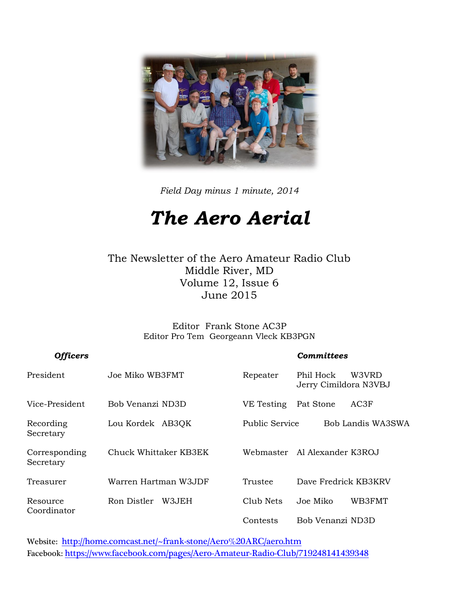

*Field Day minus 1 minute, 2014*

## *The Aero Aerial*

The Newsletter of the Aero Amateur Radio Club Middle River, MD Volume 12, Issue 6 June 2015

> Editor Frank Stone AC3P Editor Pro Tem Georgeann Vleck KB3PGN

| <b>Officers</b>            |                       | Committees     |                                             |  |  |
|----------------------------|-----------------------|----------------|---------------------------------------------|--|--|
| President                  | Joe Miko WB3FMT       | Repeater       | W3VRD<br>Phil Hock<br>Jerry Cimildora N3VBJ |  |  |
| Vice-President             | Bob Venanzi ND3D      | VE Testing     | AC3F<br>Pat Stone                           |  |  |
| Recording<br>Secretary     | Lou Kordek AB3QK      | Public Service | Bob Landis WA3SWA                           |  |  |
| Corresponding<br>Secretary | Chuck Whittaker KB3EK |                | Webmaster – Al Alexander K3ROJ              |  |  |
| Treasurer                  | Warren Hartman W3JDF  | Trustee        | Dave Fredrick KB3KRV                        |  |  |
| Resource<br>Coordinator    | Ron Distler<br>W3JEH  | Club Nets      | WB3FMT<br>Joe Miko                          |  |  |
|                            |                       | Contests       | Bob Venanzi ND3D                            |  |  |

Website: <http://home.comcast.net/~frank-stone/Aero%20ARC/aero.htm> Facebook: <https://www.facebook.com/pages/Aero-Amateur-Radio-Club/719248141439348>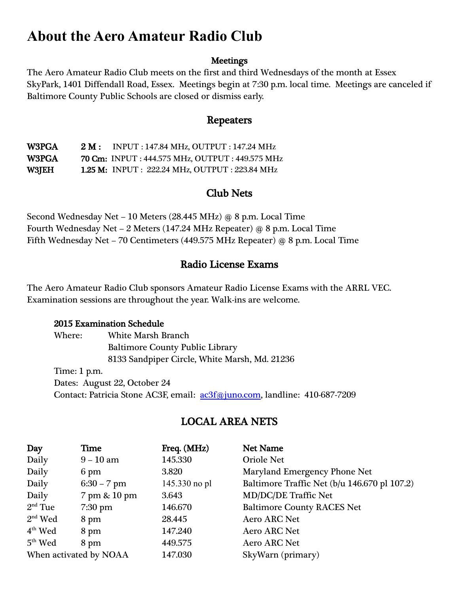#### **About the Aero Amateur Radio Club**

#### **Meetings**

The Aero Amateur Radio Club meets on the first and third Wednesdays of the month at Essex SkyPark, 1401 Diffendall Road, Essex. Meetings begin at 7:30 p.m. local time. Meetings are canceled if Baltimore County Public Schools are closed or dismiss early.

#### Repeaters

W3PGA 2 M : INPUT : 147.84 MHz, OUTPUT : 147.24 MHz W3PGA 70 Cm: INPUT : 444.575 MHz, OUTPUT : 449.575 MHz W3JEH 1.25 M: INPUT : 222.24 MHz, OUTPUT : 223.84 MHz

#### Club Nets

Second Wednesday Net – 10 Meters (28.445 MHz) @ 8 p.m. Local Time Fourth Wednesday Net – 2 Meters (147.24 MHz Repeater) @ 8 p.m. Local Time Fifth Wednesday Net – 70 Centimeters (449.575 MHz Repeater) @ 8 p.m. Local Time

#### Radio License Exams

The Aero Amateur Radio Club sponsors Amateur Radio License Exams with the ARRL VEC. Examination sessions are throughout the year. Walk-ins are welcome.

#### 2015 Examination Schedule

Where: White Marsh Branch Baltimore County Public Library 8133 Sandpiper Circle, White Marsh, Md. 21236 Time: 1 p.m. Dates: August 22, October 24 Contact: Patricia Stone AC3F, email: [ac3f@juno.com,](mailto:ac3f@juno.com) landline: 410-687-7209

#### LOCAL AREA NETS

| Day                    | Time          | Freq. (MHz)   | <b>Net Name</b>                              |
|------------------------|---------------|---------------|----------------------------------------------|
| Daily                  | $9 - 10$ am   | 145.330       | <b>Oriole Net</b>                            |
| Daily                  | 6 pm          | 3.820         | Maryland Emergency Phone Net                 |
| Daily                  | $6:30 - 7$ pm | 145.330 no pl | Baltimore Traffic Net (b/u 146.670 pl 107.2) |
| Daily                  | 7 pm & 10 pm  | 3.643         | <b>MD/DC/DE Traffic Net</b>                  |
| $2nd$ Tue              | $7:30$ pm     | 146.670       | <b>Baltimore County RACES Net</b>            |
| $2nd$ Wed              | 8 pm          | 28.445        | Aero ARC Net                                 |
| $4th$ Wed              | 8 pm          | 147.240       | <b>Aero ARC Net</b>                          |
| $5th$ Wed              | 8 pm          | 449.575       | <b>Aero ARC Net</b>                          |
| When activated by NOAA |               | 147.030       | SkyWarn (primary)                            |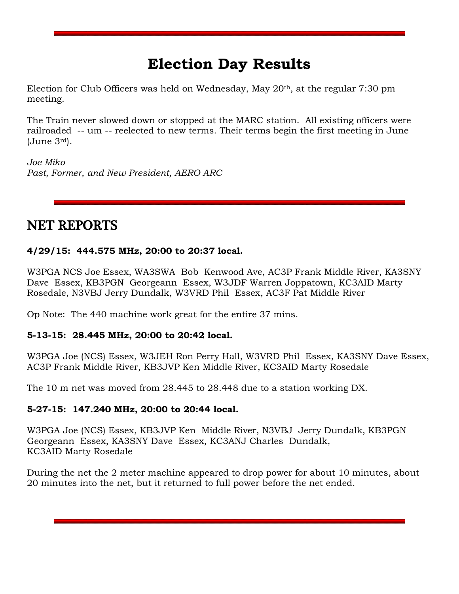#### **Election Day Results**

Election for Club Officers was held on Wednesday, May 20<sup>th</sup>, at the regular 7:30 pm meeting.

The Train never slowed down or stopped at the MARC station. All existing officers were railroaded -- um -- reelected to new terms. Their terms begin the first meeting in June (June 3rd).

*Joe Miko Past, Former, and New President, AERO ARC* 

#### NET REPORTS

#### **4/29/15: 444.575 MHz, 20:00 to 20:37 local.**

W3PGA NCS Joe Essex, WA3SWA Bob Kenwood Ave, AC3P Frank Middle River, KA3SNY Dave Essex, KB3PGN Georgeann Essex, W3JDF Warren Joppatown, KC3AID Marty Rosedale, N3VBJ Jerry Dundalk, W3VRD Phil Essex, AC3F Pat Middle River

Op Note: The 440 machine work great for the entire 37 mins.

#### **5-13-15: 28.445 MHz, 20:00 to 20:42 local.**

W3PGA Joe (NCS) Essex, W3JEH Ron Perry Hall, W3VRD Phil Essex, KA3SNY Dave Essex, AC3P Frank Middle River, KB3JVP Ken Middle River, KC3AID Marty Rosedale

The 10 m net was moved from 28.445 to 28.448 due to a station working DX.

#### **5-27-15: 147.240 MHz, 20:00 to 20:44 local.**

W3PGA Joe (NCS) Essex, KB3JVP Ken Middle River, N3VBJ Jerry Dundalk, KB3PGN Georgeann Essex, KA3SNY Dave Essex, KC3ANJ Charles Dundalk, KC3AID Marty Rosedale

During the net the 2 meter machine appeared to drop power for about 10 minutes, about 20 minutes into the net, but it returned to full power before the net ended.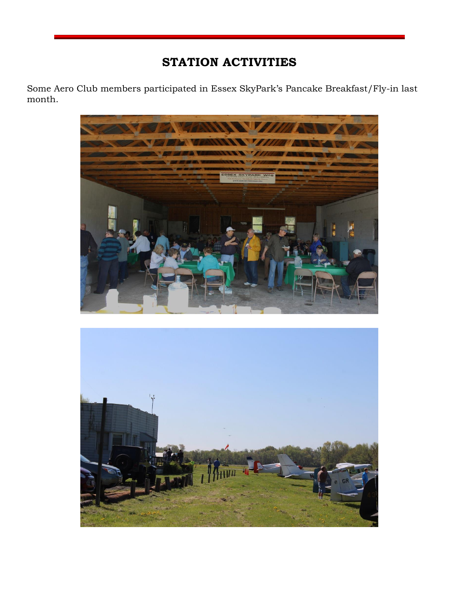#### **STATION ACTIVITIES**

Some Aero Club members participated in Essex SkyPark's Pancake Breakfast/Fly-in last month.



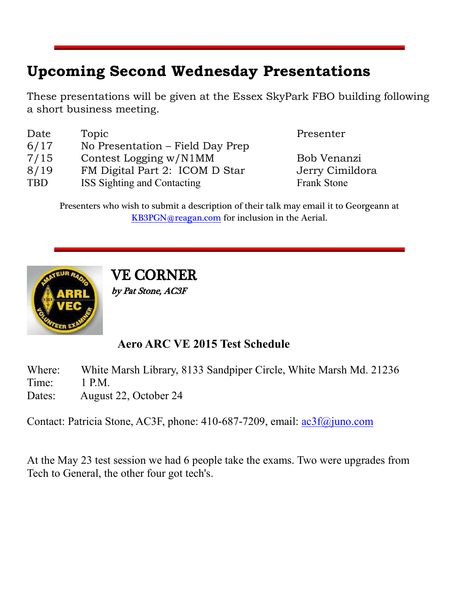### **Upcoming Second Wednesday Presentations**

These presentations will be given at the Essex SkyPark FBO building following a short business meeting.

| Date       | Topic                            |
|------------|----------------------------------|
| 6/17       | No Presentation – Field Day Prep |
| 7/15       | Contest Logging w/N1MM           |
| 8/19       | FM Digital Part 2: ICOM D Star   |
| <b>TBD</b> | ISS Sighting and Contacting      |

Presenter

Bob Venanzi Jerry Cimildora Frank Stone

Presenters who wish to submit a description of their talk may email it to Georgeann at [KB3PGN@reagan.com](mailto:KB3PGN@reagan.com) for inclusion in the Aerial.



VE CORNER by Pat Stone, AC3F

#### **Aero ARC VE 2015 Test Schedule**

Where: White Marsh Library, 8133 Sandpiper Circle, White Marsh Md. 21236 Time: 1 P.M. Dates: August 22, October 24

Contact: Patricia Stone, AC3F, phone: 410-687-7209, email: [ac3f@juno.com](mailto:ac3f@juno.com)

At the May 23 test session we had 6 people take the exams. Two were upgrades from Tech to General, the other four got tech's.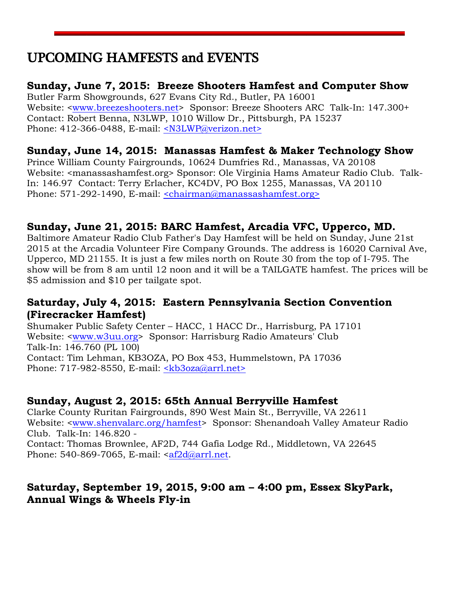#### UPCOMING HAMFESTS and EVENTS

#### **Sunday, June 7, 2015: Breeze Shooters Hamfest and Computer Show**

Butler Farm Showgrounds, 627 Evans City Rd., Butler, PA 16001 Website: [<www.breezeshooters.net>](http://www.breezeshooters.net/) Sponsor: Breeze Shooters ARC Talk-In: 147.300+ Contact: Robert Benna, N3LWP, 1010 Willow Dr., Pittsburgh, PA 15237 Phone: 412-366-0488, E-mail: [<N3LWP@verizon.net>](mailto:N3LWP@verizon.net)

#### **Sunday, June 14, 2015: Manassas Hamfest & Maker Technology Show**

Prince William County Fairgrounds, 10624 Dumfries Rd., Manassas, VA 20108 Website: <manassashamfest.org> Sponsor: Ole Virginia Hams Amateur Radio Club. Talk-In: 146.97 Contact: Terry Erlacher, KC4DV, PO Box 1255, Manassas, VA 20110 Phone: 571-292-1490, E-mail: [<chairman@manassashamfest.org>](mailto:%3cchairman@manassashamfest.org%3e)

#### **Sunday, June 21, 2015: BARC Hamfest, Arcadia VFC, Upperco, MD.**

Baltimore Amateur Radio Club Father's Day Hamfest will be held on Sunday, June 21st 2015 at the Arcadia Volunteer Fire Company Grounds. The address is 16020 Carnival Ave, Upperco, MD 21155. It is just a few miles north on Route 30 from the top of I-795. The show will be from 8 am until 12 noon and it will be a TAILGATE hamfest. The prices will be \$5 admission and \$10 per tailgate spot.

#### **Saturday, July 4, 2015: Eastern Pennsylvania Section Convention (Firecracker Hamfest)**

Shumaker Public Safety Center – HACC, 1 HACC Dr., Harrisburg, PA 17101 Website: [<www.w3uu.org>](http://www.w3uu.org/) Sponsor: Harrisburg Radio Amateurs' Club Talk-In: 146.760 (PL 100) Contact: Tim Lehman, KB3OZA, PO Box 453, Hummelstown, PA 17036 Phone: 717-982-8550, E-mail: [<kb3oza@arrl.net>](mailto:kb3oza@arrl.net)

#### **Sunday, August 2, 2015: 65th Annual Berryville Hamfest**

Clarke County Ruritan Fairgrounds, 890 West Main St., Berryville, VA 22611 Website: [<www.shenvalarc.org/hamfest>](http://www.shenvalarc.org/hamfest) Sponsor: Shenandoah Valley Amateur Radio Club. Talk-In: 146.820 -

Contact: Thomas Brownlee, AF2D, 744 Gafia Lodge Rd., Middletown, VA 22645 Phone: 540-869-7065, E-mail: [<af2d@arrl.net.](mailto:af2d@arrl.net)

#### **Saturday, September 19, 2015, 9:00 am – 4:00 pm, Essex SkyPark, Annual Wings & Wheels Fly-in**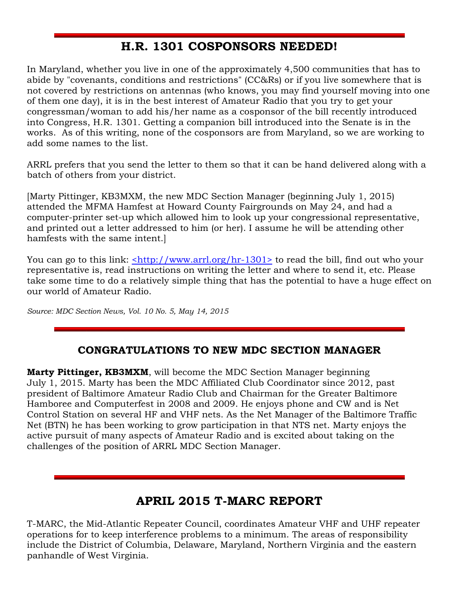#### **H.R. 1301 COSPONSORS NEEDED!**

In Maryland, whether you live in one of the approximately 4,500 communities that has to abide by "covenants, conditions and restrictions" (CC&Rs) or if you live somewhere that is not covered by restrictions on antennas (who knows, you may find yourself moving into one of them one day), it is in the best interest of Amateur Radio that you try to get your congressman/woman to add his/her name as a cosponsor of the bill recently introduced into Congress, H.R. 1301. Getting a companion bill introduced into the Senate is in the works. As of this writing, none of the cosponsors are from Maryland, so we are working to add some names to the list.

ARRL prefers that you send the letter to them so that it can be hand delivered along with a batch of others from your district.

[Marty Pittinger, KB3MXM, the new MDC Section Manager (beginning July 1, 2015) attended the MFMA Hamfest at Howard County Fairgrounds on May 24, and had a computer-printer set-up which allowed him to look up your congressional representative, and printed out a letter addressed to him (or her). I assume he will be attending other hamfests with the same intent.]

You can go to this link: [<http://www.arrl.org/hr-1301>](http://www.arrl.org/hr-1301) to read the bill, find out who your representative is, read instructions on writing the letter and where to send it, etc. Please take some time to do a relatively simple thing that has the potential to have a huge effect on our world of Amateur Radio.

*Source: MDC Section News, Vol. 10 No. 5, May 14, 2015*

#### **CONGRATULATIONS TO NEW MDC SECTION MANAGER**

**Marty Pittinger, KB3MXM**, will become the MDC Section Manager beginning July 1, 2015. Marty has been the MDC Affiliated Club Coordinator since 2012, past president of Baltimore Amateur Radio Club and Chairman for the Greater Baltimore Hamboree and Computerfest in 2008 and 2009. He enjoys phone and CW and is Net Control Station on several HF and VHF nets. As the Net Manager of the Baltimore Traffic Net (BTN) he has been working to grow participation in that NTS net. Marty enjoys the active pursuit of many aspects of Amateur Radio and is excited about taking on the challenges of the position of ARRL MDC Section Manager.

#### **APRIL 2015 T-MARC REPORT**

T-MARC, the Mid-Atlantic Repeater Council, coordinates Amateur VHF and UHF repeater operations for to keep interference problems to a minimum. The areas of responsibility include the District of Columbia, Delaware, Maryland, Northern Virginia and the eastern panhandle of West Virginia.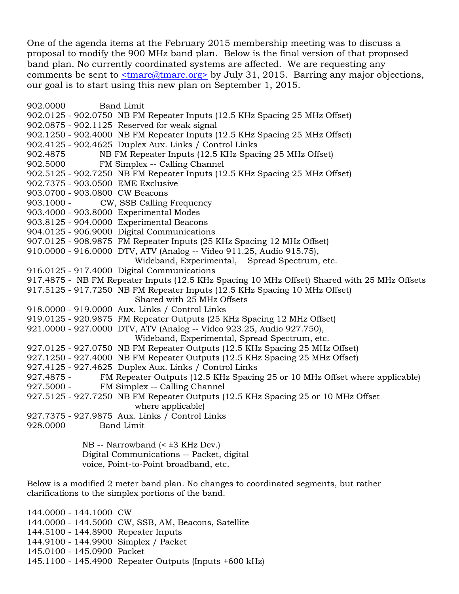One of the agenda items at the February 2015 membership meeting was to discuss a proposal to modify the 900 MHz band plan. Below is the final version of that proposed band plan. No currently coordinated systems are affected. We are requesting any comments be sent to [<tmarc@tmarc.org>](mailto:tmarc@tmarc.org) by July 31, 2015. Barring any major objections, our goal is to start using this new plan on September 1, 2015.

902.0000 Band Limit 902.0125 - 902.0750 NB FM Repeater Inputs (12.5 KHz Spacing 25 MHz Offset) 902.0875 - 902.1125 Reserved for weak signal 902.1250 - 902.4000 NB FM Repeater Inputs (12.5 KHz Spacing 25 MHz Offset) 902.4125 - 902.4625 Duplex Aux. Links / Control Links 902.4875 NB FM Repeater Inputs (12.5 KHz Spacing 25 MHz Offset) 902.5000 FM Simplex -- Calling Channel 902.5125 - 902.7250 NB FM Repeater Inputs (12.5 KHz Spacing 25 MHz Offset) 902.7375 - 903.0500 EME Exclusive 903.0700 - 903.0800 CW Beacons 903.1000 - CW, SSB Calling Frequency 903.4000 - 903.8000 Experimental Modes 903.8125 - 904.0000 Experimental Beacons 904.0125 - 906.9000 Digital Communications 907.0125 - 908.9875 FM Repeater Inputs (25 KHz Spacing 12 MHz Offset) 910.0000 - 916.0000 DTV, ATV (Analog -- Video 911.25, Audio 915.75), Wideband, Experimental, Spread Spectrum, etc. 916.0125 - 917.4000 Digital Communications 917.4875 - NB FM Repeater Inputs (12.5 KHz Spacing 10 MHz Offset) Shared with 25 MHz Offsets 917.5125 - 917.7250 NB FM Repeater Inputs (12.5 KHz Spacing 10 MHz Offset) Shared with 25 MHz Offsets 918.0000 - 919.0000 Aux. Links / Control Links 919.0125 - 920.9875 FM Repeater Outputs (25 KHz Spacing 12 MHz Offset) 921.0000 - 927.0000 DTV, ATV (Analog -- Video 923.25, Audio 927.750), Wideband, Experimental, Spread Spectrum, etc. 927.0125 - 927.0750 NB FM Repeater Outputs (12.5 KHz Spacing 25 MHz Offset) 927.1250 - 927.4000 NB FM Repeater Outputs (12.5 KHz Spacing 25 MHz Offset) 927.4125 - 927.4625 Duplex Aux. Links / Control Links 927.4875 - FM Repeater Outputs (12.5 KHz Spacing 25 or 10 MHz Offset where applicable) 927.5000 - FM Simplex -- Calling Channel 927.5125 - 927.7250 NB FM Repeater Outputs (12.5 KHz Spacing 25 or 10 MHz Offset where applicable) 927.7375 - 927.9875 Aux. Links / Control Links 928.0000 Band Limit

 NB -- Narrowband (< ±3 KHz Dev.) Digital Communications -- Packet, digital voice, Point-to-Point broadband, etc.

Below is a modified 2 meter band plan. No changes to coordinated segments, but rather clarifications to the simplex portions of the band.

144.0000 - 144.1000 CW 144.0000 - 144.5000 CW, SSB, AM, Beacons, Satellite 144.5100 - 144.8900 Repeater Inputs 144.9100 - 144.9900 Simplex / Packet 145.0100 - 145.0900 Packet 145.1100 - 145.4900 Repeater Outputs (Inputs +600 kHz)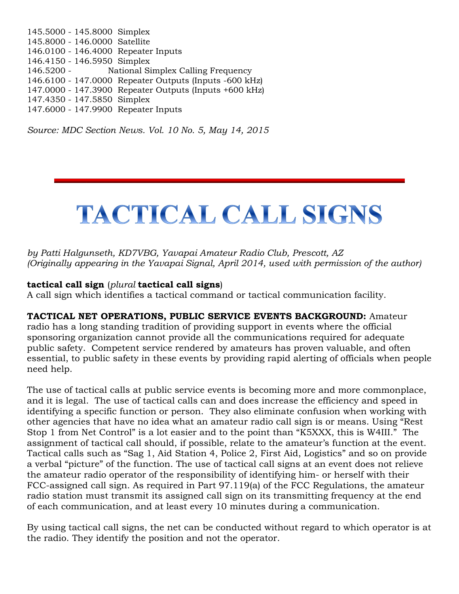145.5000 - 145.8000 Simplex 145.8000 - 146.0000 Satellite 146.0100 - 146.4000 Repeater Inputs 146.4150 - 146.5950 Simplex 146.5200 - National Simplex Calling Frequency 146.6100 - 147.0000 Repeater Outputs (Inputs -600 kHz) 147.0000 - 147.3900 Repeater Outputs (Inputs +600 kHz) 147.4350 - 147.5850 Simplex 147.6000 - 147.9900 Repeater Inputs

*Source: MDC Section News. Vol. 10 No. 5, May 14, 2015*

## TACTICAL CALL SIGNS

*by Patti Halgunseth, KD7VBG, Yavapai Amateur Radio Club, Prescott, AZ (Originally appearing in the Yavapai Signal, April 2014, used with permission of the author)*

#### **tactical call sign** (*plural* **tactical call signs**)

A call sign which identifies a tactical command or tactical communication facility.

#### **TACTICAL NET OPERATIONS, PUBLIC SERVICE EVENTS BACKGROUND:** Amateur

radio has a long standing tradition of providing support in events where the official sponsoring organization cannot provide all the communications required for adequate public safety. Competent service rendered by amateurs has proven valuable, and often essential, to public safety in these events by providing rapid alerting of officials when people need help.

The use of tactical calls at public service events is becoming more and more commonplace, and it is legal. The use of tactical calls can and does increase the efficiency and speed in identifying a specific function or person. They also eliminate confusion when working with other agencies that have no idea what an amateur radio call sign is or means. Using "Rest Stop 1 from Net Control" is a lot easier and to the point than "K5XXX, this is W4III." The assignment of tactical call should, if possible, relate to the amateur's function at the event. Tactical calls such as "Sag 1, Aid Station 4, Police 2, First Aid, Logistics" and so on provide a verbal "picture" of the function. The use of tactical call signs at an event does not relieve the amateur radio operator of the responsibility of identifying him- or herself with their FCC-assigned call sign. As required in Part 97.119(a) of the FCC Regulations, the amateur radio station must transmit its assigned call sign on its transmitting frequency at the end of each communication, and at least every 10 minutes during a communication.

By using tactical call signs, the net can be conducted without regard to which operator is at the radio. They identify the position and not the operator.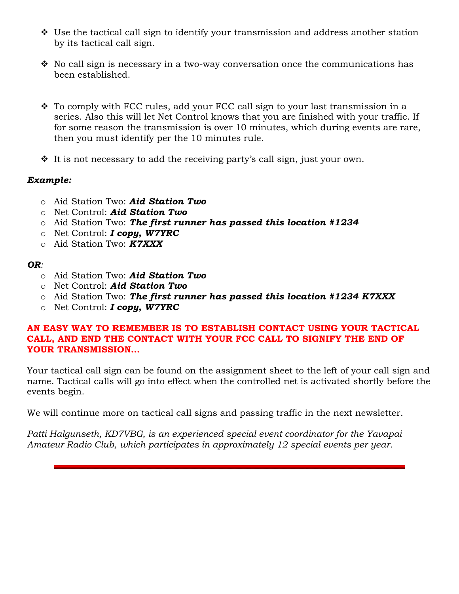- $\cdot$  Use the tactical call sign to identify your transmission and address another station by its tactical call sign.
- $\hat{\mathbf{v}}$  No call sign is necessary in a two-way conversation once the communications has been established.
- \* To comply with FCC rules, add your FCC call sign to your last transmission in a series. Also this will let Net Control knows that you are finished with your traffic. If for some reason the transmission is over 10 minutes, which during events are rare, then you must identify per the 10 minutes rule.
- $\cdot \cdot$  It is not necessary to add the receiving party's call sign, just your own.

#### *Example:*

- o Aid Station Two: *Aid Station Two*
- o Net Control: *Aid Station Two*
- o Aid Station Two: *The first runner has passed this location #1234*
- o Net Control: *I copy, W7YRC*
- o Aid Station Two: *K7XXX*

#### *OR:*

- o Aid Station Two: *Aid Station Two*
- o Net Control: *Aid Station Two*
- o Aid Station Two: *The first runner has passed this location #1234 K7XXX*
- o Net Control: *I copy, W7YRC*

#### **AN EASY WAY TO REMEMBER IS TO ESTABLISH CONTACT USING YOUR TACTICAL CALL, AND END THE CONTACT WITH YOUR FCC CALL TO SIGNIFY THE END OF YOUR TRANSMISSION…**

Your tactical call sign can be found on the assignment sheet to the left of your call sign and name. Tactical calls will go into effect when the controlled net is activated shortly before the events begin.

We will continue more on tactical call signs and passing traffic in the next newsletter.

*Patti Halgunseth, KD7VBG, is an experienced special event coordinator for the Yavapai Amateur Radio Club, which participates in approximately 12 special events per year.*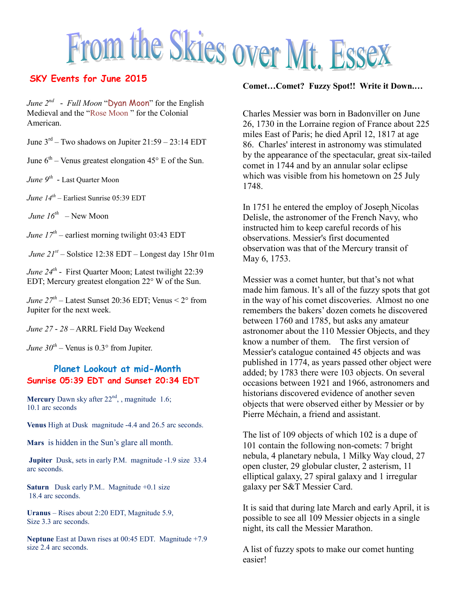# From the Skies over Mt. Essex

*June 2nd - Full Moon* "Dyan Moon" for the English Medieval and the "Rose Moon " for the Colonial American.

June  $3<sup>rd</sup>$  – Two shadows on Jupiter 21:59 – 23:14 EDT

June  $6<sup>th</sup>$  – Venus greatest elongation 45 $\degree$  E of the Sun.

*June 9th -* Last Quarter Moon

*June 14th* – Earliest Sunrise 05:39 EDT

*June 16th –* New Moon

*June 17th* – earliest morning twilight 03:43 EDT

*June 21st* – Solstice 12:38 EDT – Longest day 15hr 01m

*June 24th -* First Quarter Moon; Latest twilight 22:39 EDT; Mercury greatest elongation 22° W of the Sun.

*June*  $27^{th}$  – Latest Sunset 20:36 EDT; Venus  $\leq 2^{\circ}$  from Jupiter for the next week.

*June 27 - 28* – ARRL Field Day Weekend

*June*  $30^{th}$  – Venus is 0.3° from Jupiter.

#### **Planet Lookout at mid-Month Sunrise 05:39 EDT and Sunset 20:34 EDT**

**Mercury** Dawn sky after  $22<sup>nd</sup>$ , magnitude 1.6; 10.1 arc seconds

**Venus** High at Dusk magnitude -4.4 and 26.5 arc seconds.

**Mars** is hidden in the Sun's glare all month.

**Jupiter** Dusk, sets in early P.M. magnitude -1.9 size 33.4 arc seconds.

**Saturn** Dusk early P.M.. Magnitude +0.1 size 18.4 arc seconds.

**Uranus** – Rises about 2:20 EDT, Magnitude 5.9, Size 3.3 arc seconds.

**Neptune** East at Dawn rises at 00:45 EDT. Magnitude +7.9 size 2.4 arc seconds.

#### **Comet…Comet? Fuzzy Spot!! Write it Down.…**

Charles Messier was born in Badonviller on June 26, 1730 in the Lorraine region of France about 225 miles East of Paris; he died April 12, 1817 at age 86. Charles' interest in astronomy was stimulated by the appearance of the spectacular, great six-tailed comet in 1744 and by an annular solar eclipse which was visible from his hometown on 25 July 1748.

In 1751 he entered the employ of Joseph Nicolas Delisle, the astronomer of the French Navy, who instructed him to keep careful records of his observations. Messier's first documented observation was that of the Mercury transit of May 6, 1753.

Messier was a comet hunter, but that's not what made him famous. It's all of the fuzzy spots that got in the way of his comet discoveries. Almost no one remembers the bakers' dozen comets he discovered between 1760 and 1785, but asks any amateur astronomer about the 110 Messier Objects, and they know a number of them. The first version of Messier's catalogue contained 45 objects and was published in 1774, as years passed other object were added; by 1783 there were 103 objects. On several occasions between 1921 and 1966, astronomers and historians discovered evidence of another seven objects that were observed either by Messier or by Pierre Méchain, a friend and assistant.

The list of 109 objects of which 102 is a dupe of 101 contain the following non-comets: 7 bright nebula, 4 planetary nebula, 1 Milky Way cloud, 27 open cluster, 29 globular cluster, 2 asterism, 11 elliptical galaxy, 27 spiral galaxy and 1 irregular galaxy per S&T Messier Card.

It is said that during late March and early April, it is possible to see all 109 Messier objects in a single night, its call the Messier Marathon.

A list of fuzzy spots to make our comet hunting easier!